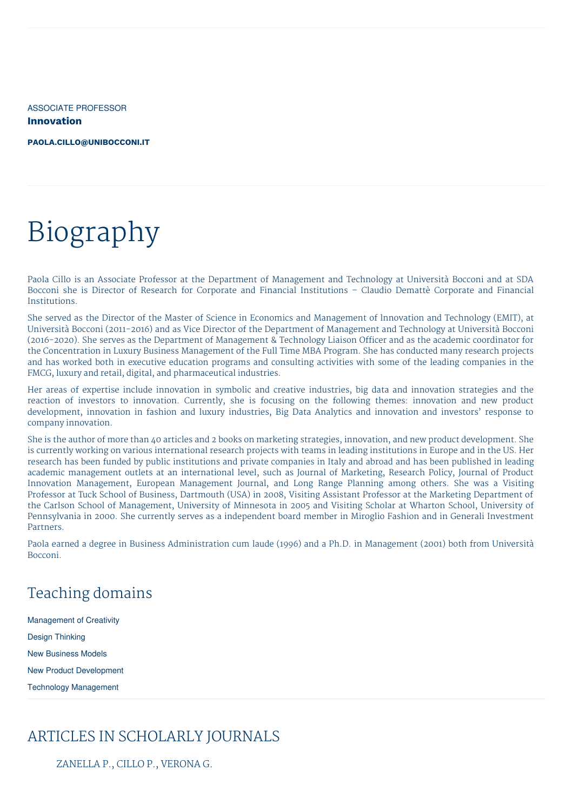ASSOCIATE PROFESSOR **Innovation**

**[PAOLA.CILLO@UNIBOCCONI.IT](mailto:paola.cillo@unibocconi.it)**

# Biography

Paola Cillo is an Associate Professor at the Department of Management and Technology at Università Bocconi and at SDA Bocconi she is Director of Research for Corporate and Financial Institutions – Claudio Demattè Corporate and Financial Institutions.

She served as the Director of the Master of Science in Economics and Management of lnnovation and Technology (EMIT), at Università Bocconi (2011-2016) and as Vice Director of the Department of Management and Technology at Università Bocconi (2016-2020). She serves as the Department of Management & Technology Liaison Officer and as the academic coordinator for the Concentration in Luxury Business Management of the Full Time MBA Program. She has conducted many research projects and has worked both in executive education programs and consulting activities with some of the leading companies in the FMCG, luxury and retail, digital, and pharmaceutical industries.

Her areas of expertise include innovation in symbolic and creative industries, big data and innovation strategies and the reaction of investors to innovation. Currently, she is focusing on the following themes: innovation and new product development, innovation in fashion and luxury industries, Big Data Analytics and innovation and investors' response to company innovation.

She is the author of more than 40 articles and 2 books on marketing strategies, innovation, and new product development. She is currently working on various international research projects with teams in leading institutions in Europe and in the US. Her research has been funded by public institutions and private companies in Italy and abroad and has been published in leading academic management outlets at an international level, such as Journal of Marketing, Research Policy, Journal of Product Innovation Management, European Management Journal, and Long Range Planning among others. She was a Visiting Professor at Tuck School of Business, Dartmouth (USA) in 2008, Visiting Assistant Professor at the Marketing Department of the Carlson School of Management, University of Minnesota in 2005 and Visiting Scholar at Wharton School, University of Pennsylvania in 2000. She currently serves as a independent board member in Miroglio Fashion and in Generali Investment Partners.

Paola earned a degree in Business Administration cum laude (1996) and a Ph.D. in Management (2001) both from Università Bocconi.

# Teaching domains

Management of Creativity Design Thinking New Business Models New Product Development Technology Management

# ARTICLES IN SCHOLARLY JOURNALS

ZANELLA P., CILLO P., VERONA G.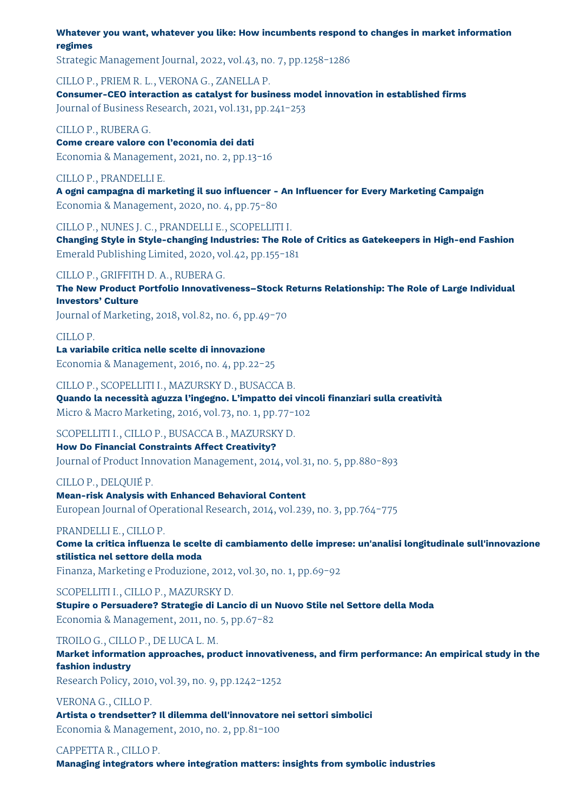**Whatever you want, whatever you like: How incumbents respond to changes in market information regimes**

Strategic Management Journal, 2022, vol.43, no. 7, pp.1258-1286

CILLO P., PRIEM R. L., VERONA G., ZANELLA P.

**Consumer-CEO interaction as catalyst for business model innovation in established firms** Journal of Business Research, 2021, vol.131, pp.241-253

CILLO P., RUBERA G.

**Come creare valore con l'economia dei dati** Economia & Management, 2021, no. 2, pp.13-16

#### CILLO P., PRANDELLI E.

**A ogni campagna di marketing il suo influencer - An Influencer for Every Marketing Campaign** Economia & Management, 2020, no. 4, pp.75-80

CILLO P., NUNES J. C., PRANDELLI E., SCOPELLITI I.

**Changing Style in Style-changing Industries: The Role of Critics as Gatekeepers in High-end Fashion** Emerald Publishing Limited, 2020, vol.42, pp.155-181

#### CILLO P., GRIFFITH D. A., RUBERA G.

**The New Product Portfolio Innovativeness–Stock Returns Relationship: The Role of Large Individual Investors' Culture**

Journal of Marketing, 2018, vol.82, no. 6, pp.49-70

#### CILLO P.

**La variabile critica nelle scelte di innovazione** Economia & Management, 2016, no. 4, pp.22-25

CILLO P., SCOPELLITI I., MAZURSKY D., BUSACCA B.

**Quando la necessità aguzza l'ingegno. L'impatto dei vincoli finanziari sulla creatività** Micro & Macro Marketing, 2016, vol.73, no. 1, pp.77-102

#### SCOPELLITI I., CILLO P., BUSACCA B., MAZURSKY D.

#### **How Do Financial Constraints Affect Creativity?**

Journal of Product Innovation Management, 2014, vol.31, no. 5, pp.880-893

#### CILLO P., DELQUIÉ P.

**Mean-risk Analysis with Enhanced Behavioral Content**

European Journal of Operational Research, 2014, vol.239, no. 3, pp.764-775

#### PRANDELLI E., CILLO P.

**Come la critica influenza le scelte di cambiamento delle imprese: un'analisi longitudinale sull'innovazione stilistica nel settore della moda**

Finanza, Marketing e Produzione, 2012, vol.30, no. 1, pp.69-92

SCOPELLITI I., CILLO P., MAZURSKY D. **Stupire o Persuadere? Strategie di Lancio di un Nuovo Stile nel Settore della Moda** Economia & Management, 2011, no. 5, pp.67-82

#### TROILO G., CILLO P., DE LUCA L. M.

**Market information approaches, product innovativeness, and firm performance: An empirical study in the fashion industry**

Research Policy, 2010, vol.39, no. 9, pp.1242-1252

VERONA G., CILLO P.

**Artista o trendsetter? Il dilemma dell'innovatore nei settori simbolici** Economia & Management, 2010, no. 2, pp.81-100

#### CAPPETTA R., CILLO P.

**Managing integrators where integration matters: insights from symbolic industries**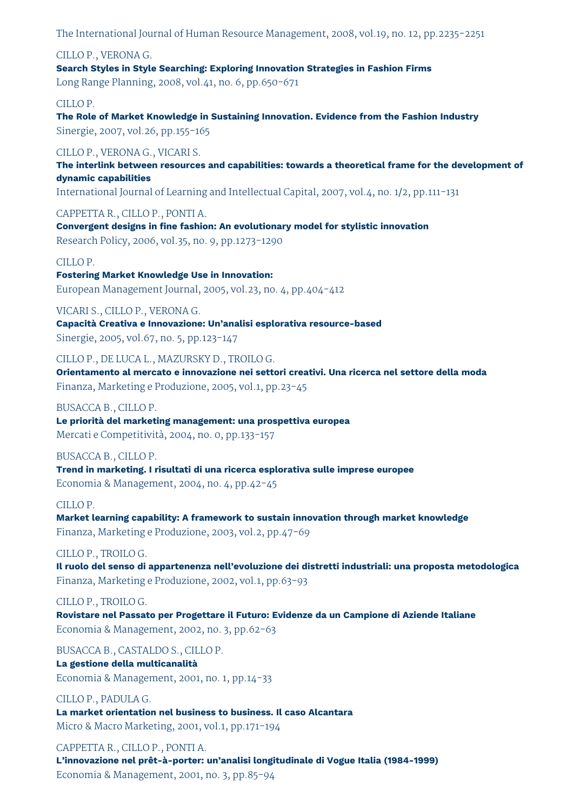The International Journal of Human Resource Management, 2008, vol.19, no. 12, pp.2235-2251

CILLO P., VERONA G. **Search Styles in Style Searching: Exploring Innovation Strategies in Fashion Firms** Long Range Planning, 2008, vol.41, no. 6, pp.650-671

CILLO P.

**The Role of Market Knowledge in Sustaining Innovation. Evidence from the Fashion Industry** Sinergie, 2007, vol.26, pp.155-165

CILLO P., VERONA G., VICARI S. **The interlink between resources and capabilities: towards a theoretical frame for the development of dynamic capabilities**

International Journal of Learning and Intellectual Capital, 2007, vol.4, no. 1/2, pp.111-131

CAPPETTA R., CILLO P., PONTI A.

**Convergent designs in fine fashion: An evolutionary model for stylistic innovation** Research Policy, 2006, vol.35, no. 9, pp.1273-1290

#### CILLO P.

**Fostering Market Knowledge Use in Innovation:** European Management Journal, 2005, vol.23, no. 4, pp.404-412

VICARI S., CILLO P., VERONA G.

**Capacità Creativa e Innovazione: Un'analisi esplorativa resource-based** Sinergie, 2005, vol.67, no. 5, pp.123-147

CILLO P., DE LUCA L., MAZURSKY D., TROILO G.

**Orientamento al mercato e innovazione nei settori creativi. Una ricerca nel settore della moda** Finanza, Marketing e Produzione, 2005, vol.1, pp.23-45

BUSACCA B., CILLO P. **Le priorità del marketing management: una prospettiva europea** Mercati e Competitività, 2004, no. 0, pp.133-157

BUSACCA B., CILLO P. **Trend in marketing. I risultati di una ricerca esplorativa sulle imprese europee** Economia & Management, 2004, no. 4, pp.42-45

#### CILLO P.

**Market learning capability: A framework to sustain innovation through market knowledge** Finanza, Marketing e Produzione, 2003, vol.2, pp.47-69

#### CILLO P., TROILO G.

**Il ruolo del senso di appartenenza nell'evoluzione dei distretti industriali: una proposta metodologica** Finanza, Marketing e Produzione, 2002, vol.1, pp.63-93

#### CILLO P., TROILO G.

**Rovistare nel Passato per Progettare il Futuro: Evidenze da un Campione di Aziende Italiane** Economia & Management, 2002, no. 3, pp.62-63

BUSACCA B., CASTALDO S., CILLO P.

### **La gestione della multicanalità**

Economia & Management, 2001, no. 1, pp.14-33

CILLO P., PADULA G.

**La market orientation nel business to business. Il caso Alcantara** Micro & Macro Marketing, 2001, vol.1, pp.171-194

CAPPETTA R., CILLO P., PONTI A. **L'innovazione nel prêt-à-porter: un'analisi longitudinale di Vogue Italia (1984-1999)** Economia & Management, 2001, no. 3, pp.85-94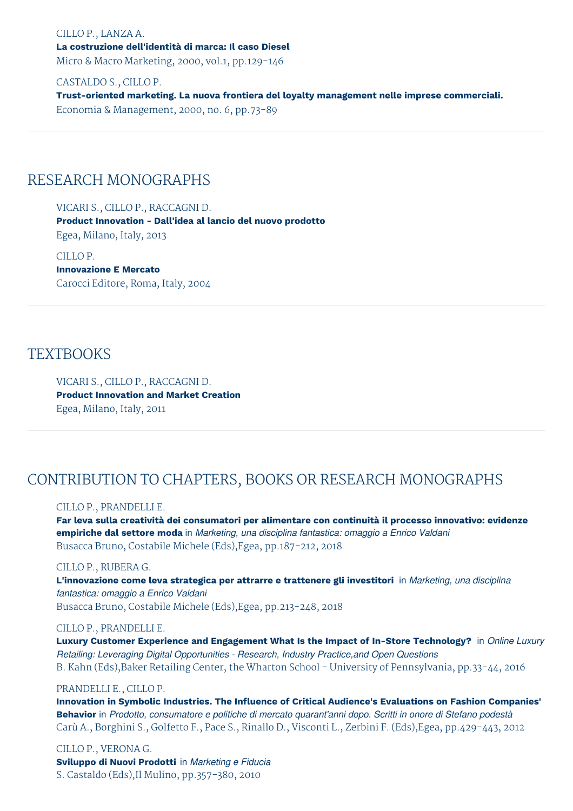CILLO P., LANZA A. **La costruzione dell'identità di marca: Il caso Diesel** Micro & Macro Marketing, 2000, vol.1, pp.129-146

CASTALDO S., CILLO P. **Trust-oriented marketing. La nuova frontiera del loyalty management nelle imprese commerciali.** Economia & Management, 2000, no. 6, pp.73-89

# RESEARCH MONOGRAPHS

VICARI S., CILLO P., RACCAGNI D. **Product Innovation - Dall'idea al lancio del nuovo prodotto** Egea, Milano, Italy, 2013

CILLO P. **Innovazione E Mercato** Carocci Editore, Roma, Italy, 2004

### **TEXTBOOKS**

VICARI S., CILLO P., RACCAGNI D. **Product Innovation and Market Creation** Egea, Milano, Italy, 2011

# CONTRIBUTION TO CHAPTERS, BOOKS OR RESEARCH MONOGRAPHS

#### CILLO P., PRANDELLI E.

**Far leva sulla creatività dei consumatori per alimentare con continuità il processo innovativo: evidenze empiriche dal settore moda** in *Marketing, una disciplina fantastica: omaggio a Enrico Valdani* Busacca Bruno, Costabile Michele (Eds),Egea, pp.187-212, 2018

#### CILLO P., RUBERA G.

**L'innovazione come leva strategica per attrarre e trattenere gli investitori** in *Marketing, una disciplina fantastica: omaggio a Enrico Valdani* Busacca Bruno, Costabile Michele (Eds),Egea, pp.213-248, 2018

#### CILLO P., PRANDELLI E.

**Luxury Customer Experience and Engagement What Is the Impact of In-Store Technology?** in *Online Luxury Retailing: Leveraging Digital Opportunities - Research, Industry Practice,and Open Questions* B. Kahn (Eds),Baker Retailing Center, the Wharton School - University of Pennsylvania, pp.33-44, 2016

#### PRANDELLI E., CILLO P.

**Innovation in Symbolic Industries. The Influence of Critical Audience's Evaluations on Fashion Companies' Behavior** in *Prodotto, consumatore e politiche di mercato quarant'anni dopo. Scritti in onore di Stefano podestà* Carù A., Borghini S., Golfetto F., Pace S., Rinallo D., Visconti L., Zerbini F. (Eds),Egea, pp.429-443, 2012

CILLO P., VERONA G. **Sviluppo di Nuovi Prodotti** in *Marketing e Fiducia* S. Castaldo (Eds),Il Mulino, pp.357-380, 2010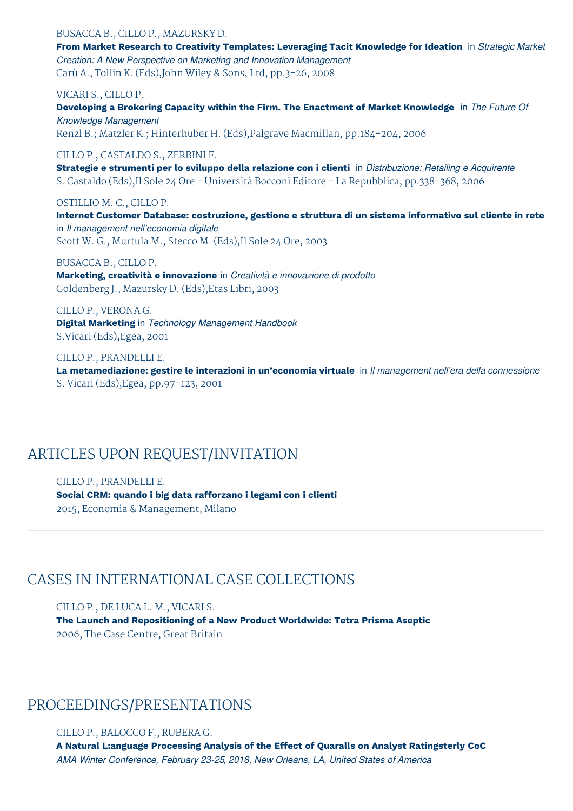### BUSACCA B., CILLO P., MAZURSKY D. **From Market Research to Creativity Templates: Leveraging Tacit Knowledge for Ideation** in *Strategic Market Creation: A New Perspective on Marketing and Innovation Management* Carù A., Tollin K. (Eds),John Wiley & Sons, Ltd, pp.3-26, 2008 VICARI S., CILLO P. **Developing a Brokering Capacity within the Firm. The Enactment of Market Knowledge** in *The Future Of Knowledge Management*

Renzl B.; Matzler K.; Hinterhuber H. (Eds),Palgrave Macmillan, pp.184-204, 2006

#### CILLO P., CASTALDO S., ZERBINI F.

**Strategie e strumenti per lo sviluppo della relazione con i clienti** in *Distribuzione: Retailing e Acquirente* S. Castaldo (Eds),Il Sole 24 Ore - Università Bocconi Editore - La Repubblica, pp.338-368, 2006

#### OSTILLIO M. C., CILLO P.

**Internet Customer Database: costruzione, gestione e struttura di un sistema informativo sul cliente in rete** in *Il management nell'economia digitale* Scott W. G., Murtula M., Stecco M. (Eds),Il Sole 24 Ore, 2003

#### BUSACCA B., CILLO P.

**Marketing, creatività e innovazione** in *Creatività e innovazione di prodotto* Goldenberg J., Mazursky D. (Eds),Etas Libri, 2003

CILLO P., VERONA G. **Digital Marketing** in *Technology Management Handbook* S.Vicari (Eds),Egea, 2001

CILLO P., PRANDELLI E. **La metamediazione: gestire le interazioni in un'economia virtuale** in *Il management nell'era della connessione* S. Vicari (Eds),Egea, pp.97-123, 2001

# ARTICLES UPON REQUEST/INVITATION

CILLO P., PRANDELLI E. **Social CRM: quando i big data rafforzano i legami con i clienti** 2015, Economia & Management, Milano

## CASES IN INTERNATIONAL CASE COLLECTIONS

CILLO P., DE LUCA L. M., VICARI S. **The Launch and Repositioning of a New Product Worldwide: Tetra Prisma Aseptic** 2006, The Case Centre, Great Britain

## PROCEEDINGS/PRESENTATIONS

CILLO P., BALOCCO F., RUBERA G. **A Natural L:anguage Processing Analysis of the Effect of Quaralls on Analyst Ratingsterly CoC** *AMA Winter Conference, February 23-25, 2018, New Orleans, LA, United States of America*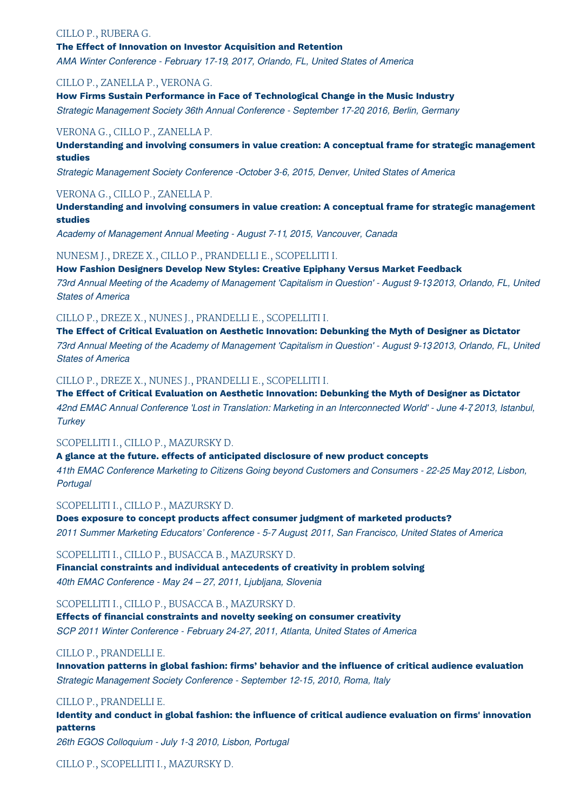#### CILLO P., RUBERA G.

#### **The Effect of Innovation on Investor Acquisition and Retention**

*AMA Winter Conference - February 17-19, 2017, Orlando, FL, United States of America*

#### CILLO P., ZANELLA P., VERONA G.

**How Firms Sustain Performance in Face of Technological Change in the Music Industry**

*Strategic Management Society 36th Annual Conference - September 17-20, 2016, Berlin, Germany*

#### VERONA G., CILLO P., ZANELLA P.

**Understanding and involving consumers in value creation: A conceptual frame for strategic management studies**

*Strategic Management Society Conference -October 3-6, 2015, Denver, United States of America*

#### VERONA G., CILLO P., ZANELLA P.

**Understanding and involving consumers in value creation: A conceptual frame for strategic management studies**

*Academy of Management Annual Meeting - August 7-11, 2015, Vancouver, Canada*

#### NUNESM J., DREZE X., CILLO P., PRANDELLI E., SCOPELLITI I.

**How Fashion Designers Develop New Styles: Creative Epiphany Versus Market Feedback**

73rd Annual Meeting of the Academy of Management 'Capitalism in Question' - August 9-132013, Orlando, FL, United *States of America*

#### CILLO P., DREZE X., NUNES J., PRANDELLI E., SCOPELLITI I.

**The Effect of Critical Evaluation on Aesthetic Innovation: Debunking the Myth of Designer as Dictator** 73rd Annual Meeting of the Academy of Management 'Capitalism in Question' - August 9-132013, Orlando, FL, United *States of America*

#### CILLO P., DREZE X., NUNES J., PRANDELLI E., SCOPELLITI I.

**The Effect of Critical Evaluation on Aesthetic Innovation: Debunking the Myth of Designer as Dictator** 42nd EMAC Annual Conference 'Lost in Translation: Marketing in an Interconnected World' - June 4-7 2013, Istanbul, *Turkey*

#### SCOPELLITI I., CILLO P., MAZURSKY D.

**A glance at the future. effects of anticipated disclosure of new product concepts**

*41th EMAC Conference Marketing to Citizens Going beyond Customers and Consumers - 22-25 May, 2012, Lisbon, Portugal*

#### SCOPELLITI I., CILLO P., MAZURSKY D.

**Does exposure to concept products affect consumer judgment of marketed products?** *2011 Summer Marketing Educators' Conference - 5-7 August, 2011, San Francisco, United States of America*

#### SCOPELLITI I., CILLO P., BUSACCA B., MAZURSKY D.

**Financial constraints and individual antecedents of creativity in problem solving** *40th EMAC Conference - May 24 – 27, 2011, Ljubljana, Slovenia*

#### SCOPELLITI I., CILLO P., BUSACCA B., MAZURSKY D.

**Effects of financial constraints and novelty seeking on consumer creativity** *SCP 2011 Winter Conference - February 24-27, 2011, Atlanta, United States of America*

#### CILLO P., PRANDELLI E.

**Innovation patterns in global fashion: firms' behavior and the influence of critical audience evaluation** *Strategic Management Society Conference - September 12-15, 2010, Roma, Italy*

#### CILLO P., PRANDELLI E.

**Identity and conduct in global fashion: the influence of critical audience evaluation on firms' innovation patterns**

*26th EGOS Colloquium - July 1-3, 2010, Lisbon, Portugal*

CILLO P., SCOPELLITI I., MAZURSKY D.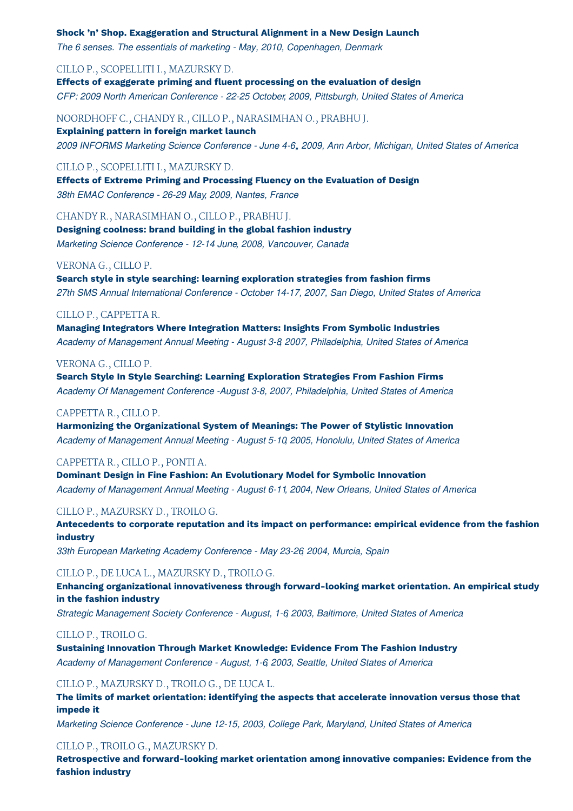#### **Shock 'n' Shop. Exaggeration and Structural Alignment in a New Design Launch**

*The 6 senses. The essentials of marketing - May, 2010, Copenhagen, Denmark*

#### CILLO P., SCOPELLITI I., MAZURSKY D.

**Effects of exaggerate priming and fluent processing on the evaluation of design** *CFP: 2009 North American Conference - 22-25 October, 2009, Pittsburgh, United States of America*

NOORDHOFF C., CHANDY R., CILLO P., NARASIMHAN O., PRABHU J. **Explaining pattern in foreign market launch** *2009 INFORMS Marketing Science Conference - June 4-6,, 2009, Ann Arbor, Michigan, United States of America*

#### CILLO P., SCOPELLITI I., MAZURSKY D.

**Effects of Extreme Priming and Processing Fluency on the Evaluation of Design** *38th EMAC Conference - 26-29 May, 2009, Nantes, France*

#### CHANDY R., NARASIMHAN O., CILLO P., PRABHU J.

**Designing coolness: brand building in the global fashion industry** *Marketing Science Conference - 12-14 June, 2008, Vancouver, Canada*

#### VERONA G., CILLO P.

**Search style in style searching: learning exploration strategies from fashion firms** *27th SMS Annual International Conference - October 14-17, 2007, San Diego, United States of America*

#### CILLO P., CAPPETTA R.

**Managing Integrators Where Integration Matters: Insights From Symbolic Industries** *Academy of Management Annual Meeting - August 3-8, 2007, Philadelphia, United States of America*

#### VERONA G., CILLO P.

**Search Style In Style Searching: Learning Exploration Strategies From Fashion Firms** *Academy Of Management Conference -August 3-8, 2007, Philadelphia, United States of America*

#### CAPPETTA R., CILLO P.

**Harmonizing the Organizational System of Meanings: The Power of Stylistic Innovation** *Academy of Management Annual Meeting - August 5-10, 2005, Honolulu, United States of America*

#### CAPPETTA R., CILLO P., PONTI A.

**Dominant Design in Fine Fashion: An Evolutionary Model for Symbolic Innovation** *Academy of Management Annual Meeting - August 6-11, 2004, New Orleans, United States of America*

#### CILLO P., MAZURSKY D., TROILO G.

**Antecedents to corporate reputation and its impact on performance: empirical evidence from the fashion industry**

*33th European Marketing Academy Conference - May 23-26, 2004, Murcia, Spain*

#### CILLO P., DE LUCA L., MAZURSKY D., TROILO G.

**Enhancing organizational innovativeness through forward-looking market orientation. An empirical study in the fashion industry**

*Strategic Management Society Conference - August, 1-6, 2003, Baltimore, United States of America*

#### CILLO P., TROILO G.

**Sustaining Innovation Through Market Knowledge: Evidence From The Fashion Industry** *Academy of Management Conference - August, 1-6, 2003, Seattle, United States of America*

#### CILLO P., MAZURSKY D., TROILO G., DE LUCA L.

**The limits of market orientation: identifying the aspects that accelerate innovation versus those that impede it**

*Marketing Science Conference - June 12-15, 2003, College Park, Maryland, United States of America*

#### CILLO P., TROILO G., MAZURSKY D.

**Retrospective and forward-looking market orientation among innovative companies: Evidence from the fashion industry**